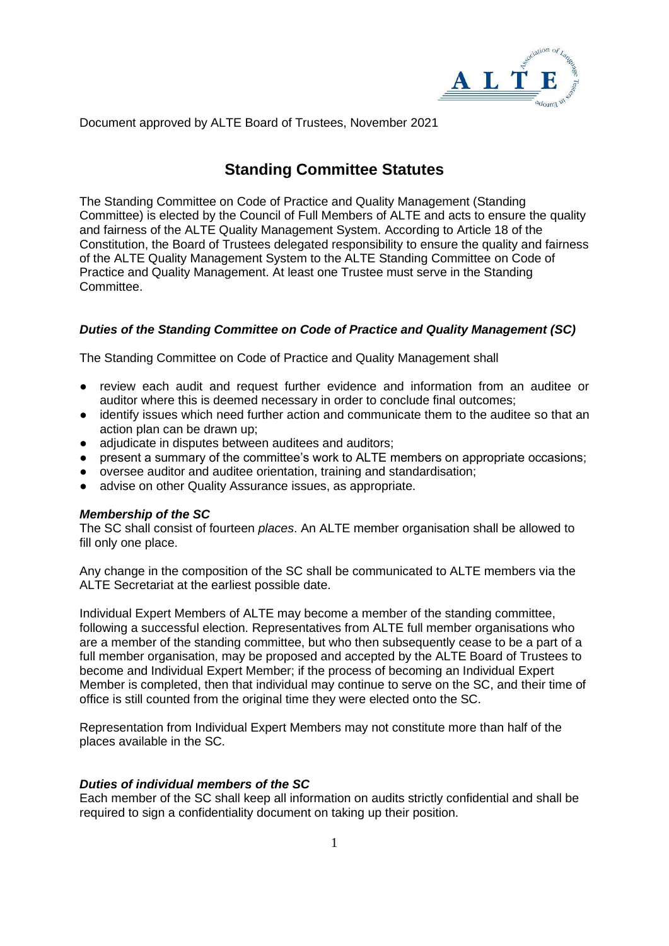

Document approved by ALTE Board of Trustees, November 2021

# **Standing Committee Statutes**

The Standing Committee on Code of Practice and Quality Management (Standing Committee) is elected by the Council of Full Members of ALTE and acts to ensure the quality and fairness of the ALTE Quality Management System. According to Article 18 of the Constitution, the Board of Trustees delegated responsibility to ensure the quality and fairness of the ALTE Quality Management System to the ALTE Standing Committee on Code of Practice and Quality Management. At least one Trustee must serve in the Standing Committee.

# *Duties of the Standing Committee on Code of Practice and Quality Management (SC)*

The Standing Committee on Code of Practice and Quality Management shall

- review each audit and request further evidence and information from an auditee or auditor where this is deemed necessary in order to conclude final outcomes;
- identify issues which need further action and communicate them to the auditee so that an action plan can be drawn up;
- adjudicate in disputes between auditees and auditors;
- present a summary of the committee's work to ALTE members on appropriate occasions;
- oversee auditor and auditee orientation, training and standardisation;
- advise on other Quality Assurance issues, as appropriate.

## *Membership of the SC*

The SC shall consist of fourteen *places*. An ALTE member organisation shall be allowed to fill only one place.

Any change in the composition of the SC shall be communicated to ALTE members via the ALTE Secretariat at the earliest possible date.

Individual Expert Members of ALTE may become a member of the standing committee, following a successful election. Representatives from ALTE full member organisations who are a member of the standing committee, but who then subsequently cease to be a part of a full member organisation, may be proposed and accepted by the ALTE Board of Trustees to become and Individual Expert Member; if the process of becoming an Individual Expert Member is completed, then that individual may continue to serve on the SC, and their time of office is still counted from the original time they were elected onto the SC.

Representation from Individual Expert Members may not constitute more than half of the places available in the SC.

# *Duties of individual members of the SC*

Each member of the SC shall keep all information on audits strictly confidential and shall be required to sign a confidentiality document on taking up their position.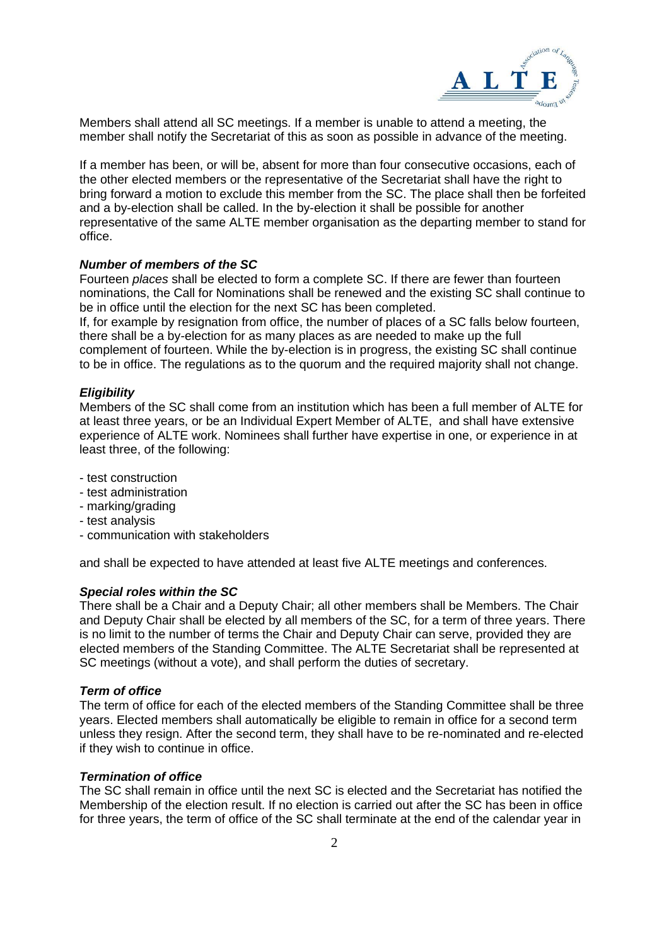

Members shall attend all SC meetings. If a member is unable to attend a meeting, the member shall notify the Secretariat of this as soon as possible in advance of the meeting.

If a member has been, or will be, absent for more than four consecutive occasions, each of the other elected members or the representative of the Secretariat shall have the right to bring forward a motion to exclude this member from the SC. The place shall then be forfeited and a by-election shall be called. In the by-election it shall be possible for another representative of the same ALTE member organisation as the departing member to stand for office.

## *Number of members of the SC*

Fourteen *places* shall be elected to form a complete SC. If there are fewer than fourteen nominations, the Call for Nominations shall be renewed and the existing SC shall continue to be in office until the election for the next SC has been completed.

If, for example by resignation from office, the number of places of a SC falls below fourteen, there shall be a by-election for as many places as are needed to make up the full complement of fourteen. While the by-election is in progress, the existing SC shall continue to be in office. The regulations as to the quorum and the required majority shall not change.

## *Eligibility*

Members of the SC shall come from an institution which has been a full member of ALTE for at least three years, or be an Individual Expert Member of ALTE, and shall have extensive experience of ALTE work. Nominees shall further have expertise in one, or experience in at least three, of the following:

- test construction
- test administration
- marking/grading
- test analysis
- communication with stakeholders

and shall be expected to have attended at least five ALTE meetings and conferences.

## *Special roles within the SC*

There shall be a Chair and a Deputy Chair; all other members shall be Members. The Chair and Deputy Chair shall be elected by all members of the SC, for a term of three years. There is no limit to the number of terms the Chair and Deputy Chair can serve, provided they are elected members of the Standing Committee. The ALTE Secretariat shall be represented at SC meetings (without a vote), and shall perform the duties of secretary.

#### *Term of office*

The term of office for each of the elected members of the Standing Committee shall be three years. Elected members shall automatically be eligible to remain in office for a second term unless they resign. After the second term, they shall have to be re-nominated and re-elected if they wish to continue in office.

#### *Termination of office*

The SC shall remain in office until the next SC is elected and the Secretariat has notified the Membership of the election result. If no election is carried out after the SC has been in office for three years, the term of office of the SC shall terminate at the end of the calendar year in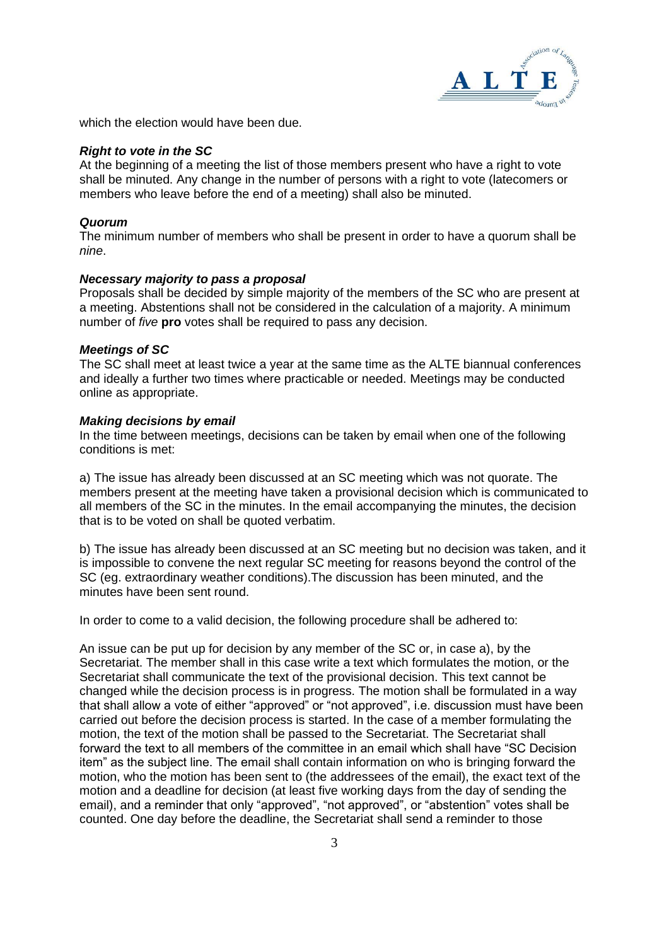

which the election would have been due.

## *Right to vote in the SC*

At the beginning of a meeting the list of those members present who have a right to vote shall be minuted. Any change in the number of persons with a right to vote (latecomers or members who leave before the end of a meeting) shall also be minuted.

#### *Quorum*

The minimum number of members who shall be present in order to have a quorum shall be *nine*.

#### *Necessary majority to pass a proposal*

Proposals shall be decided by simple majority of the members of the SC who are present at a meeting. Abstentions shall not be considered in the calculation of a majority. A minimum number of *five* **pro** votes shall be required to pass any decision.

#### *Meetings of SC*

The SC shall meet at least twice a year at the same time as the ALTE biannual conferences and ideally a further two times where practicable or needed. Meetings may be conducted online as appropriate.

#### *Making decisions by email*

In the time between meetings, decisions can be taken by email when one of the following conditions is met:

a) The issue has already been discussed at an SC meeting which was not quorate. The members present at the meeting have taken a provisional decision which is communicated to all members of the SC in the minutes. In the email accompanying the minutes, the decision that is to be voted on shall be quoted verbatim.

b) The issue has already been discussed at an SC meeting but no decision was taken, and it is impossible to convene the next regular SC meeting for reasons beyond the control of the SC (eg. extraordinary weather conditions).The discussion has been minuted, and the minutes have been sent round.

In order to come to a valid decision, the following procedure shall be adhered to:

An issue can be put up for decision by any member of the SC or, in case a), by the Secretariat. The member shall in this case write a text which formulates the motion, or the Secretariat shall communicate the text of the provisional decision. This text cannot be changed while the decision process is in progress. The motion shall be formulated in a way that shall allow a vote of either "approved" or "not approved", i.e. discussion must have been carried out before the decision process is started. In the case of a member formulating the motion, the text of the motion shall be passed to the Secretariat. The Secretariat shall forward the text to all members of the committee in an email which shall have "SC Decision item" as the subject line. The email shall contain information on who is bringing forward the motion, who the motion has been sent to (the addressees of the email), the exact text of the motion and a deadline for decision (at least five working days from the day of sending the email), and a reminder that only "approved", "not approved", or "abstention" votes shall be counted. One day before the deadline, the Secretariat shall send a reminder to those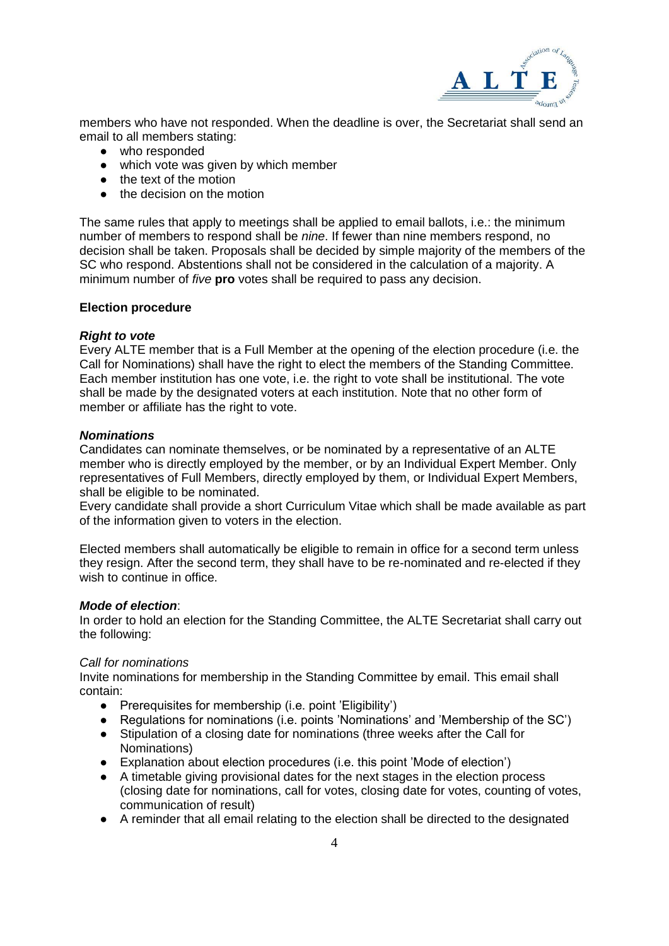

members who have not responded. When the deadline is over, the Secretariat shall send an email to all members stating:

- who responded
- which vote was given by which member
- the text of the motion
- the decision on the motion

The same rules that apply to meetings shall be applied to email ballots, i.e.: the minimum number of members to respond shall be *nine*. If fewer than nine members respond, no decision shall be taken. Proposals shall be decided by simple majority of the members of the SC who respond. Abstentions shall not be considered in the calculation of a majority. A minimum number of *five* **pro** votes shall be required to pass any decision.

## **Election procedure**

## *Right to vote*

Every ALTE member that is a Full Member at the opening of the election procedure (i.e. the Call for Nominations) shall have the right to elect the members of the Standing Committee. Each member institution has one vote, i.e. the right to vote shall be institutional. The vote shall be made by the designated voters at each institution. Note that no other form of member or affiliate has the right to vote.

## *Nominations*

Candidates can nominate themselves, or be nominated by a representative of an ALTE member who is directly employed by the member, or by an Individual Expert Member. Only representatives of Full Members, directly employed by them, or Individual Expert Members, shall be eligible to be nominated.

Every candidate shall provide a short Curriculum Vitae which shall be made available as part of the information given to voters in the election.

Elected members shall automatically be eligible to remain in office for a second term unless they resign. After the second term, they shall have to be re-nominated and re-elected if they wish to continue in office.

## *Mode of election*:

In order to hold an election for the Standing Committee, the ALTE Secretariat shall carry out the following:

## *Call for nominations*

Invite nominations for membership in the Standing Committee by email. This email shall contain:

- Prerequisites for membership (i.e. point 'Eligibility')
- Regulations for nominations (i.e. points 'Nominations' and 'Membership of the SC')
- Stipulation of a closing date for nominations (three weeks after the Call for Nominations)
- Explanation about election procedures (i.e. this point 'Mode of election')
- A timetable giving provisional dates for the next stages in the election process (closing date for nominations, call for votes, closing date for votes, counting of votes, communication of result)
- A reminder that all email relating to the election shall be directed to the designated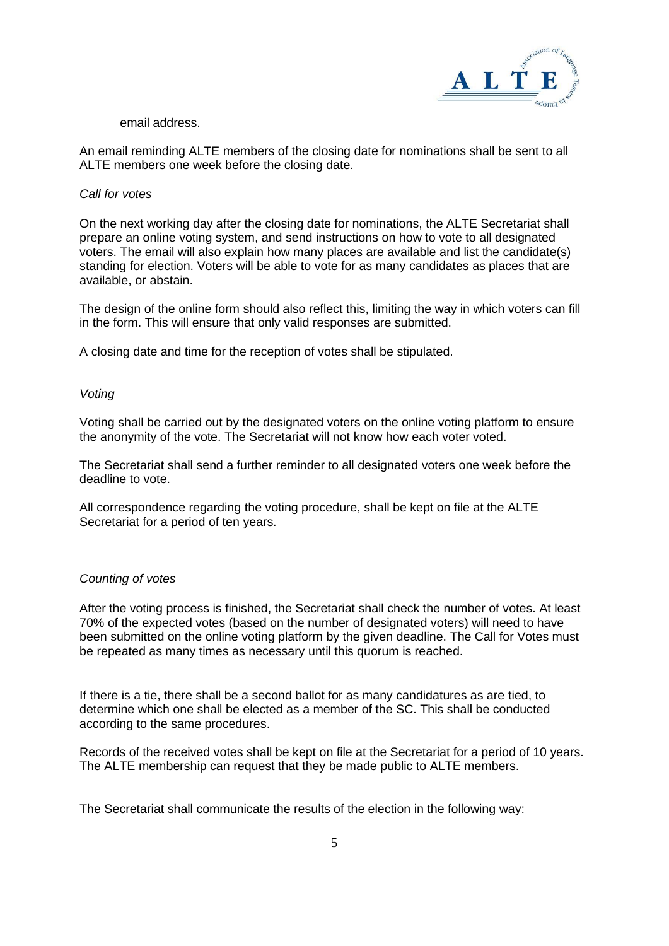

## email address.

An email reminding ALTE members of the closing date for nominations shall be sent to all ALTE members one week before the closing date.

#### *Call for votes*

On the next working day after the closing date for nominations, the ALTE Secretariat shall prepare an online voting system, and send instructions on how to vote to all designated voters. The email will also explain how many places are available and list the candidate(s) standing for election. Voters will be able to vote for as many candidates as places that are available, or abstain.

The design of the online form should also reflect this, limiting the way in which voters can fill in the form. This will ensure that only valid responses are submitted.

A closing date and time for the reception of votes shall be stipulated.

## *Voting*

Voting shall be carried out by the designated voters on the online voting platform to ensure the anonymity of the vote. The Secretariat will not know how each voter voted.

The Secretariat shall send a further reminder to all designated voters one week before the deadline to vote.

All correspondence regarding the voting procedure, shall be kept on file at the ALTE Secretariat for a period of ten years.

## *Counting of votes*

After the voting process is finished, the Secretariat shall check the number of votes. At least 70% of the expected votes (based on the number of designated voters) will need to have been submitted on the online voting platform by the given deadline. The Call for Votes must be repeated as many times as necessary until this quorum is reached.

If there is a tie, there shall be a second ballot for as many candidatures as are tied, to determine which one shall be elected as a member of the SC. This shall be conducted according to the same procedures.

Records of the received votes shall be kept on file at the Secretariat for a period of 10 years. The ALTE membership can request that they be made public to ALTE members.

The Secretariat shall communicate the results of the election in the following way: